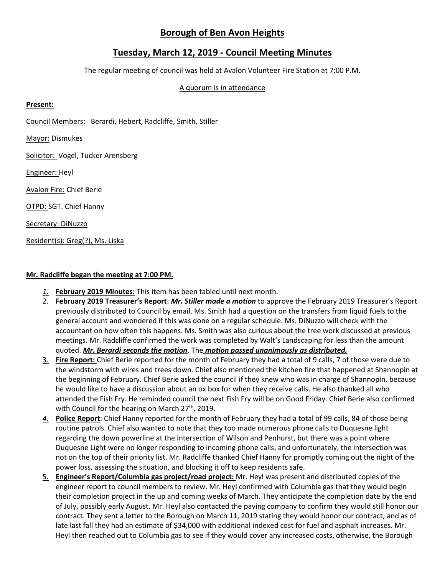# **Borough of Ben Avon Heights**

## **Tuesday, March 12, 2019 - Council Meeting Minutes**

The regular meeting of council was held at Avalon Volunteer Fire Station at 7:00 P.M.

## A quorum is in attendance

### **Present:**

Council Members: Berardi, Hebert, Radcliffe, Smith, Stiller

Mayor: Dismukes

Solicitor: Vogel, Tucker Arensberg

Engineer: Heyl

Avalon Fire: Chief Berie

OTPD: SGT. Chief Hanny

Secretary: DiNuzzo

Resident(s): Greg(?), Ms. Liska

#### **Mr. Radcliffe began the meeting at 7:00 PM.**

- *1.* **February 2019 Minutes:** This item has been tabled until next month.
- 2. **February 2019 Treasurer's Report**: *Mr. Stiller made a motion* to approve the February 2019 Treasurer's Report previously distributed to Council by email. Ms. Smith had a question on the transfers from liquid fuels to the general account and wondered if this was done on a regular schedule. Ms. DiNuzzo will check with the accountant on how often this happens. Ms. Smith was also curious about the tree work discussed at previous meetings. Mr. Radcliffe confirmed the work was completed by Walt's Landscaping for less than the amount quoted. *Mr. Berardi seconds the motion*. The *motion passed unanimously as distributed.*
- 3. **Fire Report:** Chief Berie reported for the month of February they had a total of 9 calls, 7 of those were due to the windstorm with wires and trees down. Chief also mentioned the kitchen fire that happened at Shannopin at the beginning of February. Chief Berie asked the council if they knew who was in charge of Shannopin, because he would like to have a discussion about an ox box for when they receive calls. He also thanked all who attended the Fish Fry. He reminded council the next Fish Fry will be on Good Friday. Chief Berie also confirmed with Council for the hearing on March 27<sup>th</sup>, 2019.
- *4.* **Police Report**: Chief Hanny reported for the month of February they had a total of 99 calls, 84 of those being routine patrols. Chief also wanted to note that they too made numerous phone calls to Duquesne light regarding the down powerline at the intersection of Wilson and Penhurst, but there was a point where Duquesne Light were no longer responding to incoming phone calls, and unfortunately, the intersection was not on the top of their priority list. Mr. Radcliffe thanked Chief Hanny for promptly coming out the night of the power loss, assessing the situation, and blocking it off to keep residents safe.
- 5. **Engineer's Report/Columbia gas project/road project:** Mr. Heyl was present and distributed copies of the engineer report to council members to review. Mr. Heyl confirmed with Columbia gas that they would begin their completion project in the up and coming weeks of March. They anticipate the completion date by the end of July, possibly early August. Mr. Heyl also contacted the paving company to confirm they would still honor our contract. They sent a letter to the Borough on March 11, 2019 stating they would honor our contract, and as of late last fall they had an estimate of \$34,000 with additional indexed cost for fuel and asphalt increases. Mr. Heyl then reached out to Columbia gas to see if they would cover any increased costs, otherwise, the Borough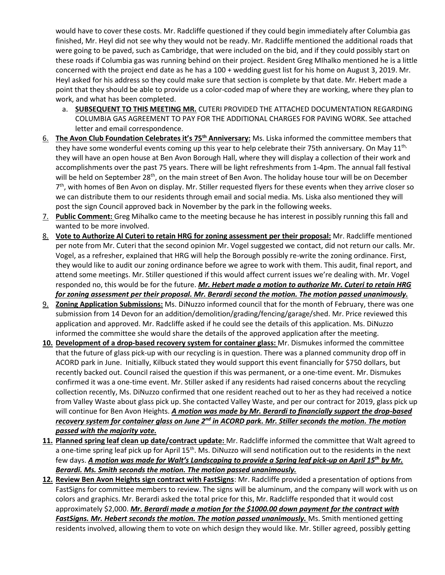would have to cover these costs. Mr. Radcliffe questioned if they could begin immediately after Columbia gas finished, Mr. Heyl did not see why they would not be ready. Mr. Radcliffe mentioned the additional roads that were going to be paved, such as Cambridge, that were included on the bid, and if they could possibly start on these roads if Columbia gas was running behind on their project. Resident Greg MIhalko mentioned he is a little concerned with the project end date as he has a 100 + wedding guest list for his home on August 3, 2019. Mr. Heyl asked for his address so they could make sure that section is complete by that date. Mr. Hebert made a point that they should be able to provide us a color-coded map of where they are working, where they plan to work, and what has been completed.

- a. **SUBSEQUENT TO THIS MEETING MR.** CUTERI PROVIDED THE ATTACHED DOCUMENTATION REGARDING COLUMBIA GAS AGREEMENT TO PAY FOR THE ADDITIONAL CHARGES FOR PAVING WORK. See attached letter and email correspondence.
- 6. **The Avon Club Foundation Celebrates it's 75th Anniversary:** Ms. Liska informed the committee members that they have some wonderful events coming up this year to help celebrate their 75th anniversary. On May  $11^{th}$ , they will have an open house at Ben Avon Borough Hall, where they will display a collection of their work and accomplishments over the past 75 years. There will be light refreshments from 1-4pm. The annual fall festival will be held on September 28<sup>th</sup>, on the main street of Ben Avon. The holiday house tour will be on December 7<sup>th</sup>, with homes of Ben Avon on display. Mr. Stiller requested flyers for these events when they arrive closer so we can distribute them to our residents through email and social media. Ms. Liska also mentioned they will post the sign Council approved back in November by the park in the following weeks.
- 7. **Public Comment:** Greg Mihalko came to the meeting because he has interest in possibly running this fall and wanted to be more involved.
- 8. **Vote to Authorize Al Cuteri to retain HRG for zoning assessment per their proposal:** Mr. Radcliffe mentioned per note from Mr. Cuteri that the second opinion Mr. Vogel suggested we contact, did not return our calls. Mr. Vogel, as a refresher, explained that HRG will help the Borough possibly re-write the zoning ordinance. First, they would like to audit our zoning ordinance before we agree to work with them. This audit, final report, and attend some meetings. Mr. Stiller questioned if this would affect current issues we're dealing with. Mr. Vogel responded no, this would be for the future. *Mr. Hebert made a motion to authorize Mr. Cuteri to retain HRG for zoning assessment per their proposal. Mr. Berardi second the motion. The motion passed unanimously.*
- 9. **Zoning Application Submissions:** Ms. DiNuzzo informed council that for the month of February, there was one submission from 14 Devon for an addition/demolition/grading/fencing/garage/shed. Mr. Price reviewed this application and approved. Mr. Radcliffe asked if he could see the details of this application. Ms. DiNuzzo informed the committee she would share the details of the approved application after the meeting.
- **10. Development of a drop-based recovery system for container glass:** Mr. Dismukes informed the committee that the future of glass pick-up with our recycling is in question. There was a planned community drop off in ACORD park in June. Initially, Kilbuck stated they would support this event financially for \$750 dollars, but recently backed out. Council raised the question if this was permanent, or a one-time event. Mr. Dismukes confirmed it was a one-time event. Mr. Stiller asked if any residents had raised concerns about the recycling collection recently, Ms. DiNuzzo confirmed that one resident reached out to her as they had received a notice from Valley Waste about glass pick up. She contacted Valley Waste, and per our contract for 2019, glass pick up will continue for Ben Avon Heights. *A motion was made by Mr. Berardi to financially support the drop-based recovery system for container glass on June 2nd in ACORD park. Mr. Stiller seconds the motion. The motion passed with the majority vote.*
- **11. Planned spring leaf clean up date/contract update:** Mr. Radcliffe informed the committee that Walt agreed to a one-time spring leaf pick up for April 15<sup>th</sup>. Ms. DiNuzzo will send notification out to the residents in the next few days. *A motion was made for Walt's Landscaping to provide a Spring leaf pick-up on April 15th by Mr. Berardi. Ms. Smith seconds the motion. The motion passed unanimously.*
- **12. Review Ben Avon Heights sign contract with FastSigns**: Mr. Radcliffe provided a presentation of options from FastSigns for committee members to review. The signs will be aluminum, and the company will work with us on colors and graphics. Mr. Berardi asked the total price for this, Mr. Radcliffe responded that it would cost approximately \$2,000. *Mr. Berardi made a motion for the \$1000.00 down payment for the contract with*  FastSigns. Mr. Hebert seconds the motion. The motion passed unanimously. Ms. Smith mentioned getting residents involved, allowing them to vote on which design they would like. Mr. Stiller agreed, possibly getting